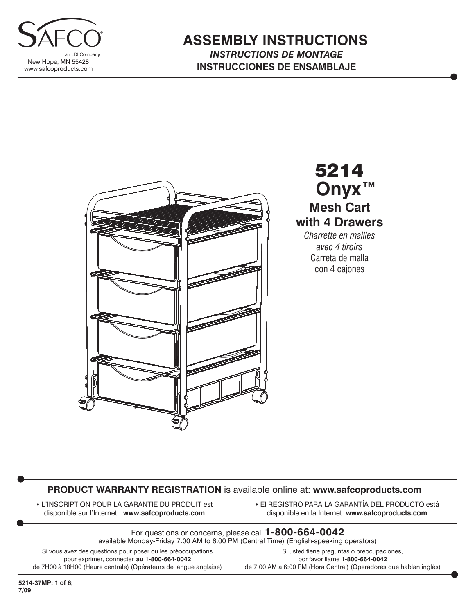

### **ASSEMBLY INSTRUCTIONS** *INSTRUCTIONS DE MONTAGE* **INSTRUCCIONES DE ENSAMBLAJE**



5214 **Mesh Cart with 4 Drawers** *Charrette en mailles avec 4 tiroirs* Carreta de malla **Onyx™**

con 4 cajones

#### **PRODUCT WARRANTY REGISTRATION** is available online at: **www.safcoproducts.com**

• L'INSCRIPTION POUR LA GARANTIE DU PRODUIT est disponible sur l'Internet : **www.safcoproducts.com**

• El REGISTRO PARA LA GARANTÍA DEL PRODUCTO está disponible en la Internet: **www.safcoproducts.com**

For questions or concerns, please call **1-800-664-0042** available Monday-Friday 7:00 AM to 6:00 PM (Central Time) (English-speaking operators)

Si vous avez des questions pour poser ou les préoccupations pour exprimer, connecter **au 1-800-664-0042** de 7H00 à 18H00 (Heure centrale) (Opérateurs de langue anglaise)

Si usted tiene preguntas o preocupaciones, por favor llame **1-800-664-0042** de 7:00 AM a 6:00 PM (Hora Central) (Operadores que hablan inglés)

**5214-37MP: 1 of 6; 7/09**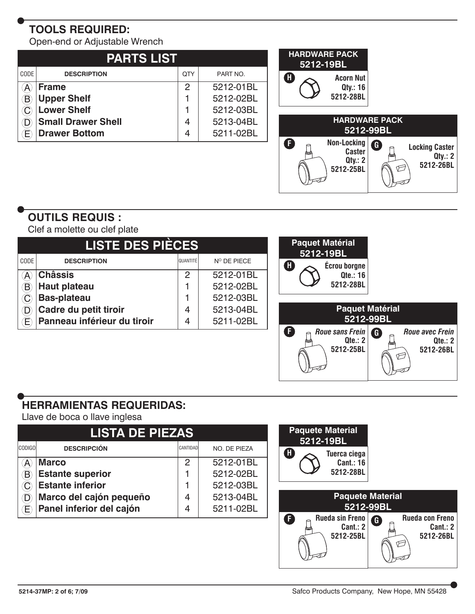# **TOOLS REQUIRED:**

Open-end or Adjustable Wrench

| <b>PARTS LIST</b> |                           |     |           |  |  |  |  |
|-------------------|---------------------------|-----|-----------|--|--|--|--|
| CODE              | <b>DESCRIPTION</b>        | QTY | PART NO.  |  |  |  |  |
|                   | <b>Frame</b>              | 2   | 5212-01BL |  |  |  |  |
|                   | <b>Upper Shelf</b>        |     | 5212-02BL |  |  |  |  |
|                   | <b>Lower Shelf</b>        |     | 5212-03BL |  |  |  |  |
|                   | <b>Small Drawer Shell</b> | 4   | 5213-04BL |  |  |  |  |
|                   | <b>Drawer Bottom</b>      | 4   | 5211-02BL |  |  |  |  |



## **OUTILS REQUIS :**

Clef a molette ou clef plate

|                            | <b>LISTE DES PIÈCES</b>     | <b>Paquet Matérial</b><br>5212-19BL |             |                                                                                                |
|----------------------------|-----------------------------|-------------------------------------|-------------|------------------------------------------------------------------------------------------------|
| CODE                       | <b>DESCRIPTION</b>          | QUANTITÉ                            | Nº DE PIECE | Œ<br><b>Écrou borgne</b>                                                                       |
| $\left( \mathsf{A}\right)$ | <b>Châssis</b>              | 2                                   | 5212-01BL   | Qte.: 16                                                                                       |
| $\left( \mathsf{B}\right)$ | <b>Haut plateau</b>         |                                     | 5212-02BL   | 5212-28BL                                                                                      |
| $\mathbf{C}$               | <b>Bas-plateau</b>          |                                     | 5212-03BL   |                                                                                                |
| $\left( \mathsf{D}\right)$ | Cadre du petit tiroir       | 4                                   | 5213-04BL   | <b>Paquet Matérial</b>                                                                         |
| œ,                         | Panneau inférieur du tiroir | 4                                   | 5211-02BL   | 5212-99BL                                                                                      |
|                            |                             |                                     |             | G<br>Roue sans Frein<br><b>Roue avec Frein</b><br>Qte.: 2<br>Qte.: 2<br>5212-26BL<br>5212-25BL |
|                            |                             |                                     |             | ←                                                                                              |

## **HERRAMIENTAS REQUERIDAS:**

Llave de boca o llave inglesa

| <b>LISTA DE PIEZAS</b> |                          |          |              |  |  |  |  |  |
|------------------------|--------------------------|----------|--------------|--|--|--|--|--|
| <b>CODIGO</b>          | <b>DESCRIPCIÓN</b>       | CANTIDAD | NO. DE PIEZA |  |  |  |  |  |
|                        | <b>Marco</b>             | 2        | 5212-01BL    |  |  |  |  |  |
|                        | <b>Estante superior</b>  |          | 5212-02BL    |  |  |  |  |  |
|                        | <b>Estante inferior</b>  |          | 5212-03BL    |  |  |  |  |  |
|                        | Marco del cajón pequeño  | 4        | 5213-04BL    |  |  |  |  |  |
|                        | Panel inferior del cajón | 4        | 5211-02BL    |  |  |  |  |  |

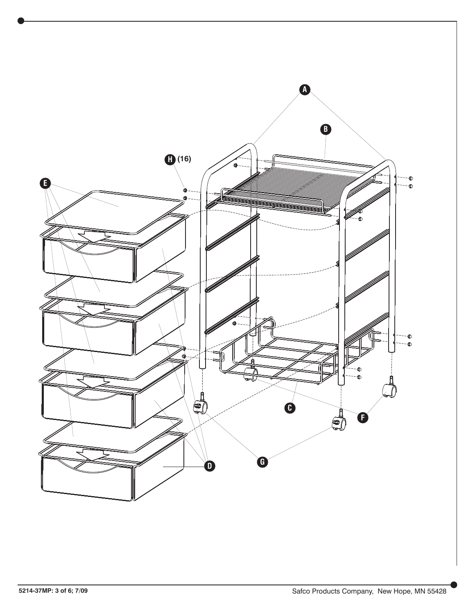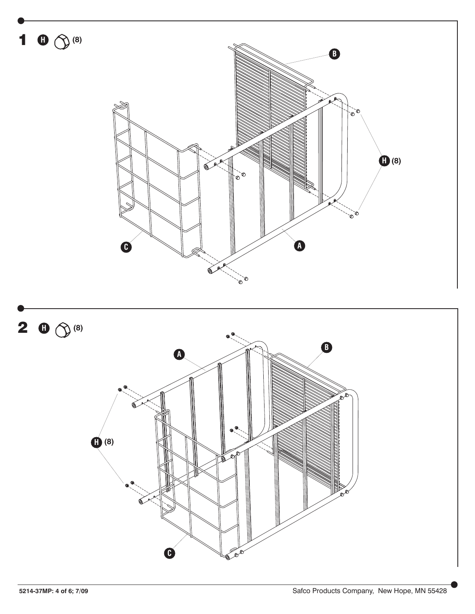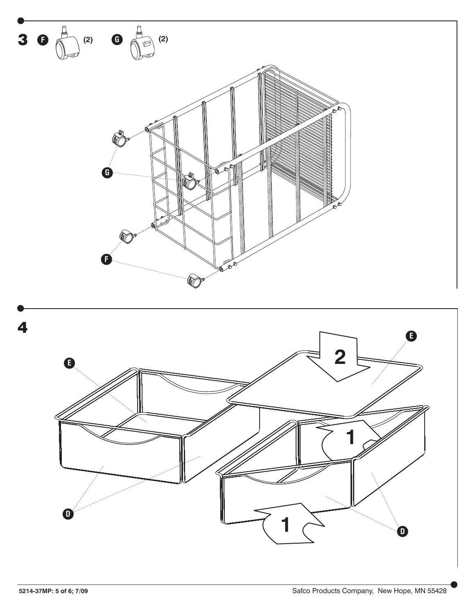